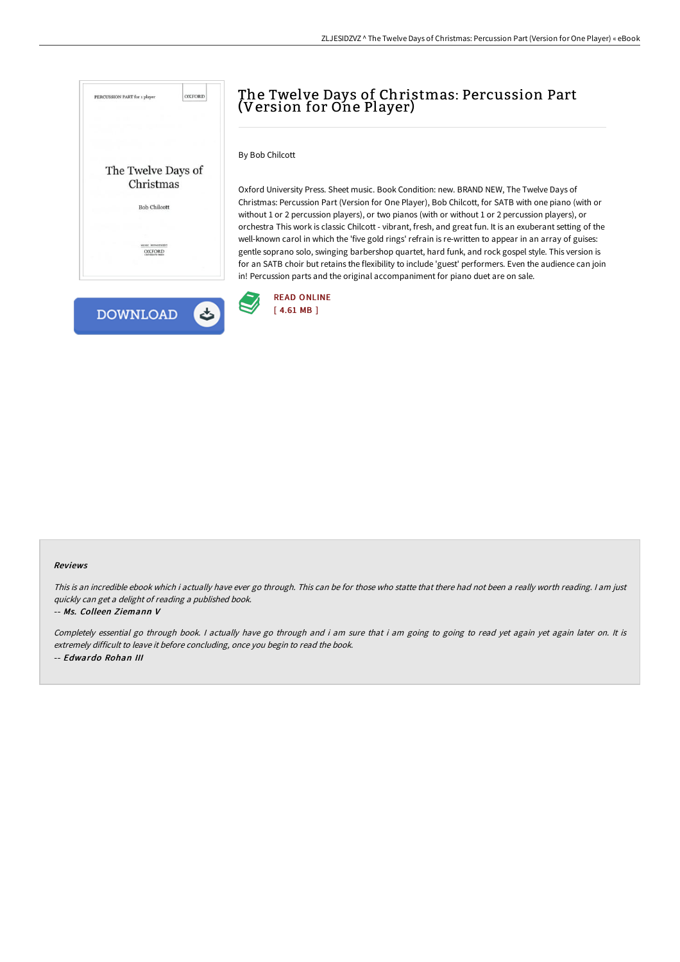



# The Twelve Days of Christmas: Percussion Part (Version for One Player)

# By Bob Chilcott

Oxford University Press. Sheet music. Book Condition: new. BRAND NEW, The Twelve Days of Christmas: Percussion Part (Version for One Player), Bob Chilcott, for SATB with one piano (with or without 1 or 2 percussion players), or two pianos (with or without 1 or 2 percussion players), or orchestra This work is classic Chilcott - vibrant, fresh, and great fun. It is an exuberant setting of the well-known carol in which the 'five gold rings' refrain is re-written to appear in an array of guises: gentle soprano solo, swinging barbershop quartet, hard funk, and rock gospel style. This version is for an SATB choir but retains the flexibility to include 'guest' performers. Even the audience can join in! Percussion parts and the original accompaniment for piano duet are on sale.



#### Reviews

This is an incredible ebook which i actually have ever go through. This can be for those who statte that there had not been a really worth reading. I am just quickly can get <sup>a</sup> delight of reading <sup>a</sup> published book.

#### -- Ms. Colleen Ziemann V

Completely essential go through book. I actually have go through and i am sure that i am going to going to read yet again yet again later on. It is extremely difficult to leave it before concluding, once you begin to read the book. -- Edwardo Rohan III